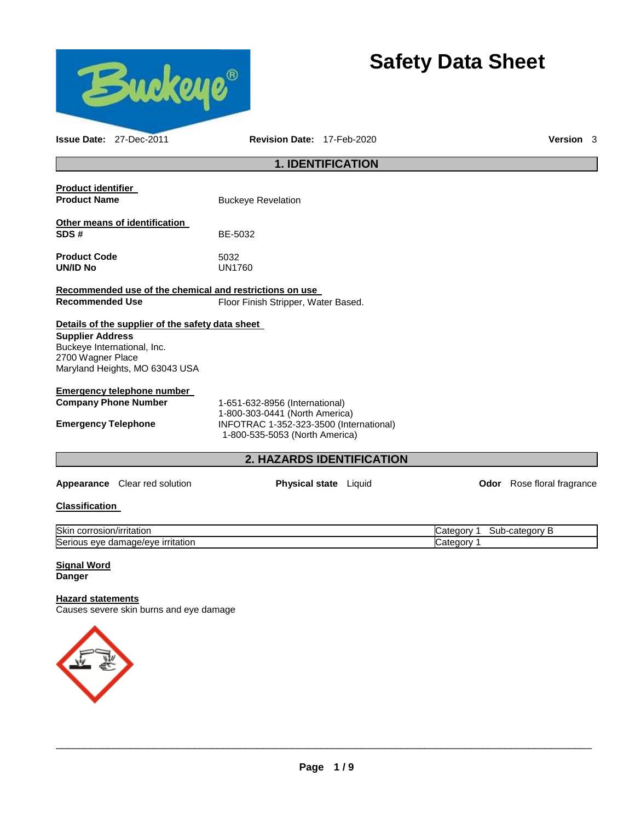

# **Safety Data Sheet**

|                                                         | <b>1. IDENTIFICATION</b>                                                  |                                                 |                            |  |
|---------------------------------------------------------|---------------------------------------------------------------------------|-------------------------------------------------|----------------------------|--|
| Product identifier                                      |                                                                           |                                                 |                            |  |
| <b>Product Name</b>                                     | <b>Buckeye Revelation</b>                                                 |                                                 |                            |  |
| Other means of identification                           |                                                                           |                                                 |                            |  |
| SDS#                                                    | BE-5032                                                                   |                                                 |                            |  |
| <b>Product Code</b>                                     | 5032                                                                      |                                                 |                            |  |
| UN/ID No                                                | <b>UN1760</b>                                                             |                                                 |                            |  |
| Recommended use of the chemical and restrictions on use |                                                                           |                                                 |                            |  |
| <b>Recommended Use</b>                                  | Floor Finish Stripper, Water Based.                                       |                                                 |                            |  |
| Details of the supplier of the safety data sheet        |                                                                           |                                                 |                            |  |
| <b>Supplier Address</b>                                 |                                                                           |                                                 |                            |  |
| Buckeye International, Inc.<br>2700 Wagner Place        |                                                                           |                                                 |                            |  |
| Maryland Heights, MO 63043 USA                          |                                                                           |                                                 |                            |  |
| Emergency telephone number                              |                                                                           |                                                 |                            |  |
| <b>Company Phone Number</b>                             | 1-651-632-8956 (International)                                            |                                                 |                            |  |
|                                                         | 1-800-303-0441 (North America)                                            |                                                 |                            |  |
| <b>Emergency Telephone</b>                              | INFOTRAC 1-352-323-3500 (International)<br>1-800-535-5053 (North America) |                                                 |                            |  |
|                                                         | <b>2. HAZARDS IDENTIFICATION</b>                                          |                                                 |                            |  |
| <b>Appearance</b> Clear red solution                    | <b>Physical state</b> Liquid                                              |                                                 | Odor Rose floral fragrance |  |
| Classification                                          |                                                                           |                                                 |                            |  |
| Objet a agreed and finite that                          |                                                                           | $O_{otherment}$ $A$ $O_{other}$ and $E_{other}$ |                            |  |

**Issue Date:** 27-Dec-2011 **Revision Date:** 17-Feb-2020 **Version** 3

| Skir<br>rosion/irritation<br>JOH L               | √ategory | category<br>oui |
|--------------------------------------------------|----------|-----------------|
| ∽<br>∍ırrıtatıon<br>Seriou.<br>eve<br>damage/eve | ⊝ategor∿ |                 |

#### **Signal Word Danger**

# **Hazard statements**

Causes severe skin burns and eye damage

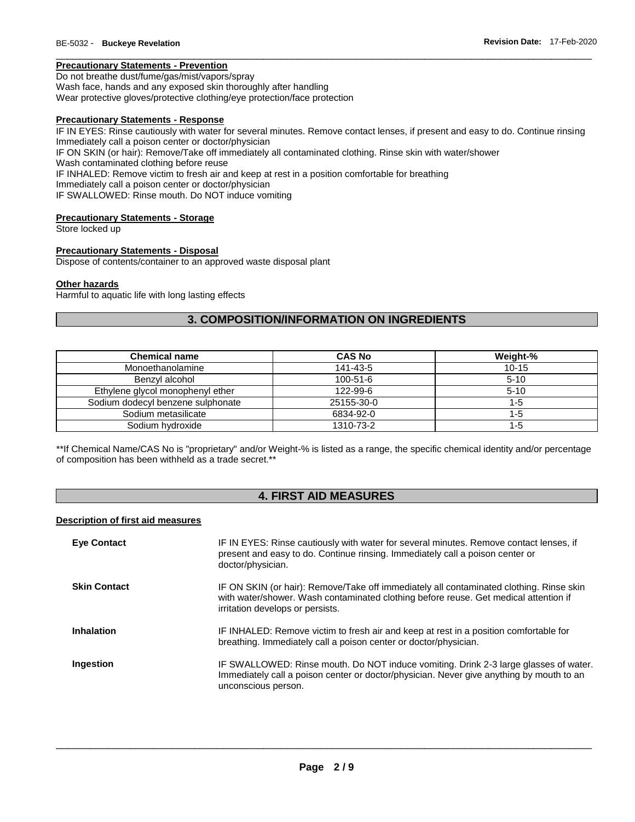# **Precautionary Statements - Prevention**

Do not breathe dust/fume/gas/mist/vapors/spray Wash face, hands and any exposed skin thoroughly after handling Wear protective gloves/protective clothing/eye protection/face protection

#### **Precautionary Statements - Response**

IF IN EYES: Rinse cautiously with water for several minutes. Remove contact lenses, if present and easy to do. Continue rinsing Immediately call a poison center or doctor/physician IF ON SKIN (or hair): Remove/Take off immediately all contaminated clothing. Rinse skin with water/shower Wash contaminated clothing before reuse IF INHALED: Remove victim to fresh air and keep at rest in a position comfortable for breathing Immediately call a poison center or doctor/physician IF SWALLOWED: Rinse mouth. Do NOT induce vomiting

\_\_\_\_\_\_\_\_\_\_\_\_\_\_\_\_\_\_\_\_\_\_\_\_\_\_\_\_\_\_\_\_\_\_\_\_\_\_\_\_\_\_\_\_\_\_\_\_\_\_\_\_\_\_\_\_\_\_\_\_\_\_\_\_\_\_\_\_\_\_\_\_\_\_\_\_\_\_\_\_\_\_\_\_\_\_\_\_\_\_\_\_\_

#### **Precautionary Statements - Storage**

Store locked up

#### **Precautionary Statements - Disposal**

Dispose of contents/container to an approved waste disposal plant

#### **Other hazards**

Harmful to aquatic life with long lasting effects

# **3. COMPOSITION/INFORMATION ON INGREDIENTS**

| <b>Chemical name</b>              | <b>CAS No</b>  | Weight-%  |
|-----------------------------------|----------------|-----------|
| Monoethanolamine                  | 141-43-5       | $10 - 15$ |
| Benzvl alcohol                    | $100 - 51 - 6$ | $5 - 10$  |
| Ethylene glycol monophenyl ether  | 122-99-6       | $5-10$    |
| Sodium dodecyl benzene sulphonate | 25155-30-0     | 1-5       |
| Sodium metasilicate               | 6834-92-0      | 1-5       |
| Sodium hydroxide                  | 1310-73-2      | 1-5       |

\*\*If Chemical Name/CAS No is "proprietary" and/or Weight-% is listed as a range, the specific chemical identity and/or percentage of composition has been withheld as a trade secret.\*\*

# **4. FIRST AID MEASURES**

#### **Description of first aid measures**

| <b>Eye Contact</b>  | IF IN EYES: Rinse cautiously with water for several minutes. Remove contact lenses, if<br>present and easy to do. Continue rinsing. Immediately call a poison center or<br>doctor/physician.                        |
|---------------------|---------------------------------------------------------------------------------------------------------------------------------------------------------------------------------------------------------------------|
| <b>Skin Contact</b> | IF ON SKIN (or hair): Remove/Take off immediately all contaminated clothing. Rinse skin<br>with water/shower. Wash contaminated clothing before reuse. Get medical attention if<br>irritation develops or persists. |
| <b>Inhalation</b>   | IF INHALED: Remove victim to fresh air and keep at rest in a position comfortable for<br>breathing. Immediately call a poison center or doctor/physician.                                                           |
| Ingestion           | IF SWALLOWED: Rinse mouth. Do NOT induce vomiting. Drink 2-3 large glasses of water.<br>Immediately call a poison center or doctor/physician. Never give anything by mouth to an<br>unconscious person.             |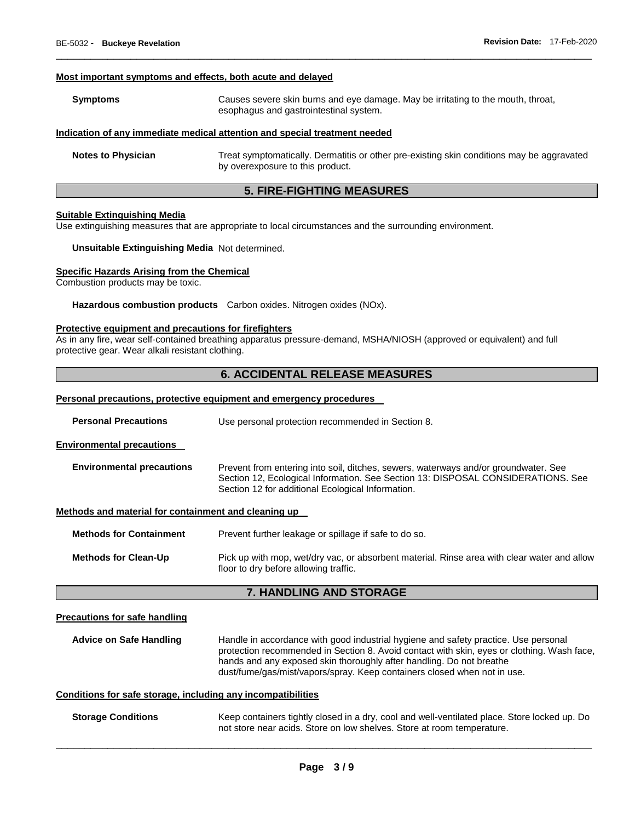#### **Most important symptoms and effects, both acute and delayed**

| <b>Symptoms</b> | Causes severe skin burns and eye damage. May be irritating to the mouth, throat,<br>esophagus and gastrointestinal system. |
|-----------------|----------------------------------------------------------------------------------------------------------------------------|
|                 | Indication of any immediate medical attention and special treatment needed                                                 |

\_\_\_\_\_\_\_\_\_\_\_\_\_\_\_\_\_\_\_\_\_\_\_\_\_\_\_\_\_\_\_\_\_\_\_\_\_\_\_\_\_\_\_\_\_\_\_\_\_\_\_\_\_\_\_\_\_\_\_\_\_\_\_\_\_\_\_\_\_\_\_\_\_\_\_\_\_\_\_\_\_\_\_\_\_\_\_\_\_\_\_\_\_

| <b>Notes to Physician</b> | Treat symptomatically. Dermatitis or other pre-existing skin conditions may be aggravated |
|---------------------------|-------------------------------------------------------------------------------------------|
|                           | by overexposure to this product.                                                          |

# **5. FIRE-FIGHTING MEASURES**

#### **Suitable Extinguishing Media**

Use extinguishing measures that are appropriate to local circumstances and the surrounding environment.

**Unsuitable Extinguishing Media** Not determined.

#### **Specific Hazards Arising from the Chemical**

Combustion products may be toxic.

**Hazardous combustion products** Carbon oxides. Nitrogen oxides (NOx).

#### **Protective equipment and precautions for firefighters**

As in any fire, wear self-contained breathing apparatus pressure-demand, MSHA/NIOSH (approved or equivalent) and full protective gear. Wear alkali resistant clothing.

# **6. ACCIDENTAL RELEASE MEASURES**

#### **Personal precautions, protective equipment and emergency procedures**

| <b>Personal Precautions</b>                          | Use personal protection recommended in Section 8.                                                                                                                                                                            |  |
|------------------------------------------------------|------------------------------------------------------------------------------------------------------------------------------------------------------------------------------------------------------------------------------|--|
| <b>Environmental precautions</b>                     |                                                                                                                                                                                                                              |  |
| <b>Environmental precautions</b>                     | Prevent from entering into soil, ditches, sewers, waterways and/or groundwater. See<br>Section 12, Ecological Information. See Section 13: DISPOSAL CONSIDERATIONS. See<br>Section 12 for additional Ecological Information. |  |
| Methods and material for containment and cleaning up |                                                                                                                                                                                                                              |  |
| <b>Methods for Containment</b>                       | Prevent further leakage or spillage if safe to do so.                                                                                                                                                                        |  |
| <b>Methods for Clean-Up</b>                          | Pick up with mop, wet/dry vac, or absorbent material. Rinse area with clear water and allow<br>floor to dry before allowing traffic.                                                                                         |  |

# **7. HANDLING AND STORAGE**

#### **Precautions for safe handling**

**Advice on Safe Handling** Handle in accordance with good industrial hygiene and safety practice. Use personal protection recommended in Section 8. Avoid contact with skin, eyes or clothing. Wash face, hands and any exposed skin thoroughly after handling. Do not breathe dust/fume/gas/mist/vapors/spray. Keep containers closed when not in use.

#### **Conditions for safe storage, including any incompatibilities**

**Storage Conditions** Keep containers tightly closed in a dry, cool and well-ventilated place. Store locked up. Do not store near acids. Store on low shelves. Store at room temperature.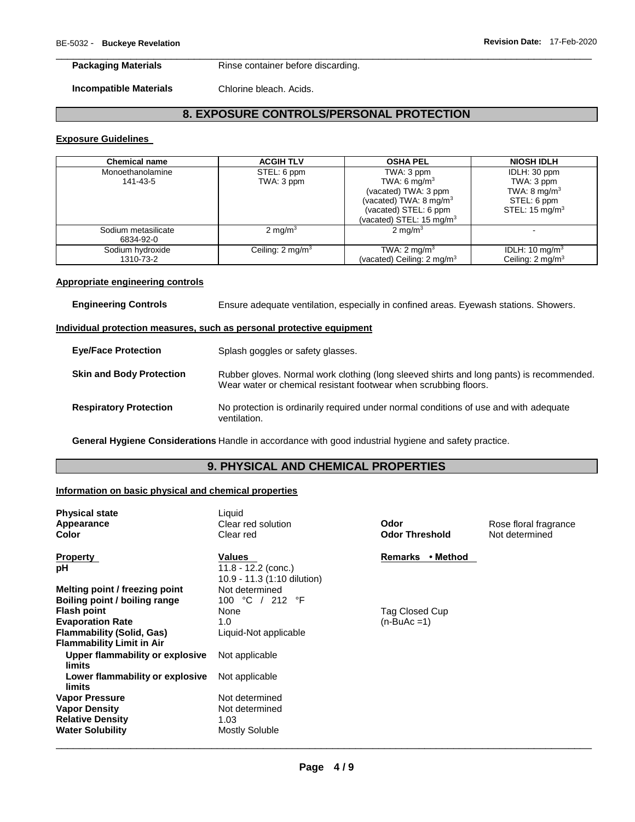#### **Packaging Materials Rinse container before discarding.**

**Incompatible Materials** Chlorine bleach. Acids.

# **8. EXPOSURE CONTROLS/PERSONAL PROTECTION**

\_\_\_\_\_\_\_\_\_\_\_\_\_\_\_\_\_\_\_\_\_\_\_\_\_\_\_\_\_\_\_\_\_\_\_\_\_\_\_\_\_\_\_\_\_\_\_\_\_\_\_\_\_\_\_\_\_\_\_\_\_\_\_\_\_\_\_\_\_\_\_\_\_\_\_\_\_\_\_\_\_\_\_\_\_\_\_\_\_\_\_\_\_

#### **Exposure Guidelines**

| <b>Chemical name</b> | <b>ACGIH TLV</b>            | <b>OSHA PEL</b>                       | <b>NIOSH IDLH</b>           |
|----------------------|-----------------------------|---------------------------------------|-----------------------------|
| Monoethanolamine     | STEL: 6 ppm                 | TWA: 3 ppm                            | IDLH: 30 ppm                |
| 141-43-5             | TWA: 3 ppm                  | TWA: 6 mg/m <sup>3</sup>              | TWA: 3 ppm                  |
|                      |                             | (vacated) TWA: 3 ppm                  | TWA: $8 \text{ mg/m}^3$     |
|                      |                             | (vacated) TWA: $8 \text{ mg/m}^3$     | STEL: 6 ppm                 |
|                      |                             | (vacated) STEL: 6 ppm                 | STEL: $15 \text{ mg/m}^3$   |
|                      |                             | (vacated) STEL: $15 \text{ mg/m}^3$   |                             |
| Sodium metasilicate  | $2 \text{ mg/m}^3$          | $2 \text{ mg/m}^3$                    |                             |
| 6834-92-0            |                             |                                       |                             |
| Sodium hydroxide     | Ceiling: $2 \text{ mq/m}^3$ | TWA: $2 \text{ mg/m}^3$               | IDLH: 10 mg/m <sup>3</sup>  |
| 1310-73-2            |                             | (vacated) Ceiling: $2 \text{ mq/m}^3$ | Ceiling: $2 \text{ ma/m}^3$ |

#### **Appropriate engineering controls**

**Engineering Controls** Ensure adequate ventilation, especially in confined areas. Eyewash stations. Showers.

#### **Individual protection measures, such as personal protective equipment**

| <b>Eye/Face Protection</b>      | Splash goggles or safety glasses.                                                                                                                            |
|---------------------------------|--------------------------------------------------------------------------------------------------------------------------------------------------------------|
| <b>Skin and Body Protection</b> | Rubber gloves. Normal work clothing (long sleeved shirts and long pants) is recommended.<br>Wear water or chemical resistant footwear when scrubbing floors. |
| <b>Respiratory Protection</b>   | No protection is ordinarily required under normal conditions of use and with adequate<br>ventilation.                                                        |

**General Hygiene Considerations** Handle in accordance with good industrial hygiene and safety practice.

# **9. PHYSICAL AND CHEMICAL PROPERTIES**

#### **Information on basic physical and chemical properties**

| <b>Physical state</b> |
|-----------------------|
| Appearance            |
| Color                 |
|                       |

**Boiling point / boiling range** 

**Flammability Limit in Air** 

**limits** 

**limits** 

**Upper flammability or explosive** 

**Lower flammability or explosive** 

**Water Solubility Mostly Soluble** 

Liquid

**Property Values Values Remarks • Method pH** 11.8 - 12.2 (conc.) 10.9 - 11.3 (1:10 dilution) **Melting point / freezing point** Not determined<br> **Boiling point / boiling range** 100 °C / 212 °F **Flash point 1996 Cup Closed Cup Closed Cup** None 1996 Tag Closed Cup **Evaporation Rate 1.0** (n-BuAc =1) **Flammability (Solid, Gas)** Liquid-Not applicable Not applicable Not applicable **Vapor Pressure**  Not determined **Vapor Density Not determined Relative Density** 1.03

**Color** Clear red **Odor Threshold** Not determined

**Clear red solution <b>Clear Clear red solution Odor Clear Rose floral fragrance**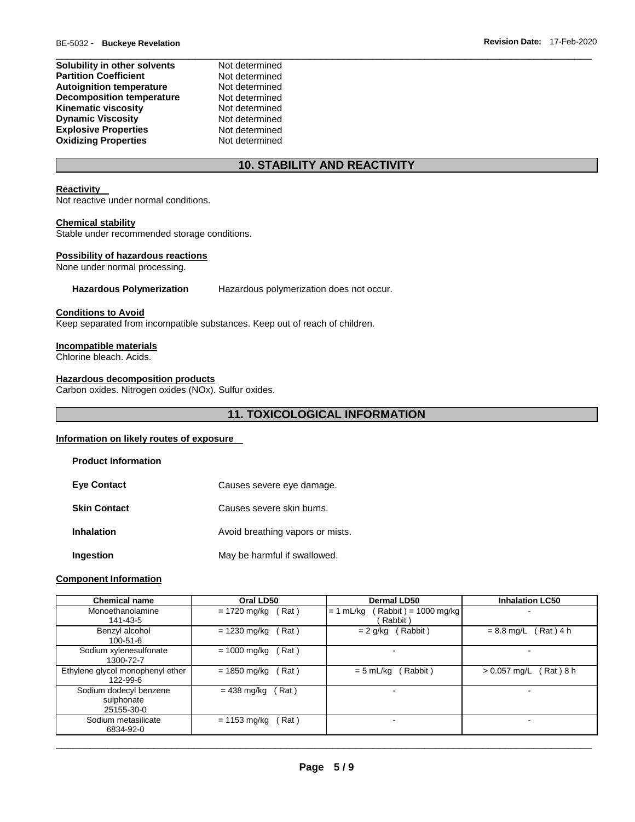| Not determined |
|----------------|
| Not determined |
| Not determined |
| Not determined |
| Not determined |
| Not determined |
| Not determined |
| Not determined |
|                |

# **10. STABILITY AND REACTIVITY**

# **Reactivity**

Not reactive under normal conditions.

### **Chemical stability**

Stable under recommended storage conditions.

### **Possibility of hazardous reactions**

None under normal processing.

**Hazardous Polymerization** Hazardous polymerization does not occur.

### **Conditions to Avoid**

Keep separated from incompatible substances. Keep out of reach of children.

#### **Incompatible materials**

Chlorine bleach. Acids.

### **Hazardous decomposition products**

Carbon oxides. Nitrogen oxides (NOx). Sulfur oxides.

# **11. TOXICOLOGICAL INFORMATION**

### **Information on likely routes of exposure**

| <b>Product Information</b> |                                  |
|----------------------------|----------------------------------|
| <b>Eve Contact</b>         | Causes severe eye damage.        |
| <b>Skin Contact</b>        | Causes severe skin burns.        |
| <b>Inhalation</b>          | Avoid breathing vapors or mists. |
| Ingestion                  | May be harmful if swallowed.     |

#### **Component Information**

| <b>Chemical name</b>             | Oral LD50              | Dermal LD50                          | <b>Inhalation LC50</b>      |
|----------------------------------|------------------------|--------------------------------------|-----------------------------|
| Monoethanolamine                 | Rat)<br>= 1720 mg/kg   | $Rabbit$ = 1000 mg/kg<br>$= 1$ mL/kg | -                           |
| 141-43-5                         |                        | Rabbit)                              |                             |
| Benzyl alcohol                   | Rat)<br>$= 1230$ mg/kg | Rabbit)<br>$= 2$ g/kg                | Rat ) 4 h<br>$= 8.8$ mg/L   |
| $100 - 51 - 6$                   |                        |                                      |                             |
| Sodium xylenesulfonate           | = 1000 mg/kg<br>Rat)   |                                      |                             |
| 1300-72-7                        |                        |                                      |                             |
| Ethylene glycol monophenyl ether | = 1850 mg/kg<br>Rat)   | Rabbit)<br>$= 5$ mL/kg               | $> 0.057$ mg/L<br>Rat ) 8 h |
| 122-99-6                         |                        |                                      |                             |
| Sodium dodecyl benzene           | = 438 mg/kg<br>Rat)    | -                                    | -                           |
| sulphonate                       |                        |                                      |                             |
| 25155-30-0                       |                        |                                      |                             |
| Sodium metasilicate              | Rat)<br>$= 1153$ mg/kg |                                      | ۰                           |
| 6834-92-0                        |                        |                                      |                             |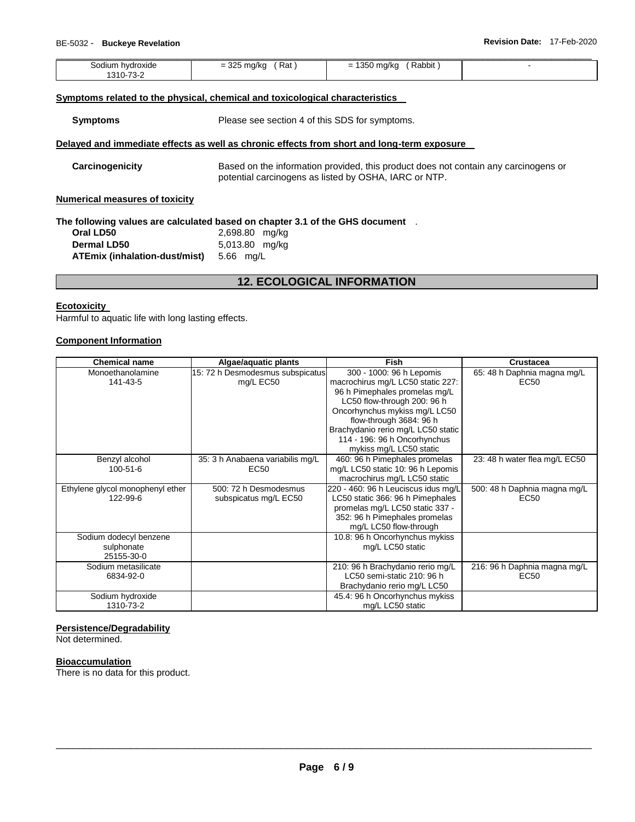| $\sim$<br>Rat<br>$\alpha$ llec<br>$\overline{\phantom{0}}$<br>$\overline{\phantom{0}}$<br>$\cdot$ $\cdot$<br>ີ |        |
|----------------------------------------------------------------------------------------------------------------|--------|
|                                                                                                                | Rabbit |

#### **Symptoms related to the physical, chemical and toxicological characteristics**

**Symptoms** Please see section 4 of this SDS for symptoms.

#### **Delayed and immediate effects as well as chronic effects from short and long-term exposure**

**Carcinogenicity** Based on the information provided, this product does not contain any carcinogens or potential carcinogens as listed by OSHA, IARC or NTP.

#### **Numerical measures of toxicity**

**The following values are calculated based on chapter 3.1 of the GHS document** .

| Oral LD50                               | 2,698.80 mg/kg |
|-----------------------------------------|----------------|
| <b>Dermal LD50</b>                      | 5,013.80 mg/kg |
| ATEmix (inhalation-dust/mist) 5.66 mg/L |                |

# **12. ECOLOGICAL INFORMATION**

#### **Ecotoxicity**

Harmful to aquatic life with long lasting effects.

### **Component Information**

| <b>Chemical name</b>             | Algae/aquatic plants             | <b>Fish</b>                         | <b>Crustacea</b>              |
|----------------------------------|----------------------------------|-------------------------------------|-------------------------------|
| Monoethanolamine                 | 15: 72 h Desmodesmus subspicatus | 300 - 1000: 96 h Lepomis            | 65: 48 h Daphnia magna mg/L   |
| 141-43-5                         | mg/L EC50                        | macrochirus mg/L LC50 static 227:   | EC50                          |
|                                  |                                  | 96 h Pimephales promelas mg/L       |                               |
|                                  |                                  | LC50 flow-through 200: 96 h         |                               |
|                                  |                                  | Oncorhynchus mykiss mg/L LC50       |                               |
|                                  |                                  | flow-through 3684: 96 h             |                               |
|                                  |                                  | Brachydanio rerio mg/L LC50 static  |                               |
|                                  |                                  | 114 - 196: 96 h Oncorhynchus        |                               |
|                                  |                                  | mykiss mg/L LC50 static             |                               |
| Benzyl alcohol                   | 35: 3 h Anabaena variabilis mg/L | 460: 96 h Pimephales promelas       | 23: 48 h water flea mg/L EC50 |
| $100 - 51 - 6$                   | EC50                             | mg/L LC50 static 10: 96 h Lepomis   |                               |
|                                  |                                  | macrochirus mg/L LC50 static        |                               |
| Ethylene glycol monophenyl ether | 500: 72 h Desmodesmus            | 220 - 460: 96 h Leuciscus idus mg/L | 500: 48 h Daphnia magna mg/L  |
| 122-99-6                         | subspicatus mg/L EC50            | LC50 static 366: 96 h Pimephales    | EC50                          |
|                                  |                                  | promelas mg/L LC50 static 337 -     |                               |
|                                  |                                  | 352: 96 h Pimephales promelas       |                               |
|                                  |                                  | mg/L LC50 flow-through              |                               |
| Sodium dodecyl benzene           |                                  | 10.8: 96 h Oncorhynchus mykiss      |                               |
| sulphonate                       |                                  | mg/L LC50 static                    |                               |
| 25155-30-0                       |                                  |                                     |                               |
| Sodium metasilicate              |                                  | 210: 96 h Brachydanio rerio mg/L    | 216: 96 h Daphnia magna mg/L  |
| 6834-92-0                        |                                  | LC50 semi-static 210: 96 h          | EC50                          |
|                                  |                                  | Brachydanio rerio mg/L LC50         |                               |
| Sodium hydroxide                 |                                  | 45.4: 96 h Oncorhynchus mykiss      |                               |
| 1310-73-2                        |                                  | mg/L LC50 static                    |                               |

### **Persistence/Degradability**

Not determined.

### **Bioaccumulation**

There is no data for this product.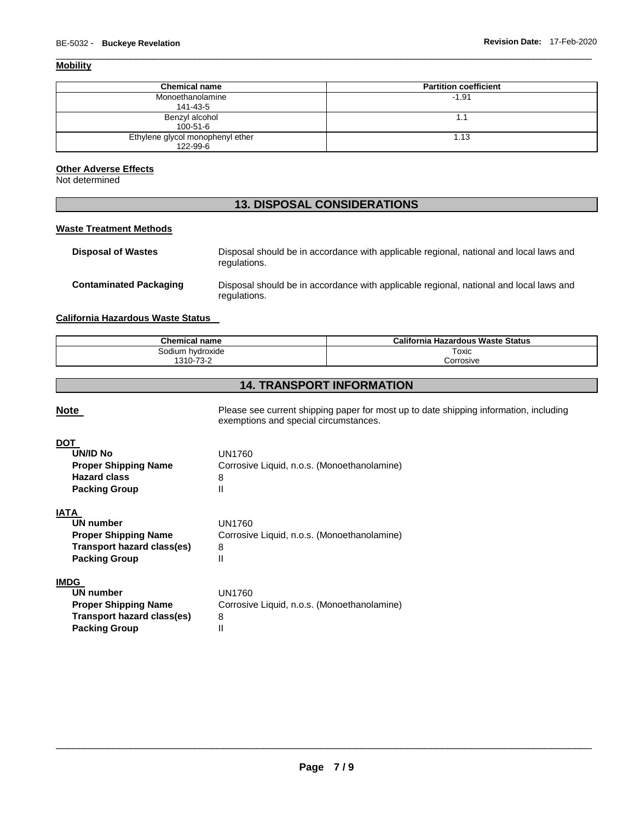# **Mobility**

| <b>Chemical name</b>                         | <b>Partition coefficient</b> |
|----------------------------------------------|------------------------------|
| Monoethanolamine<br>141-43-5                 | $-1.91$                      |
| Benzyl alcohol<br>$100 - 51 - 6$             | ۱.1                          |
| Ethylene glycol monophenyl ether<br>122-99-6 | 1.13                         |

\_\_\_\_\_\_\_\_\_\_\_\_\_\_\_\_\_\_\_\_\_\_\_\_\_\_\_\_\_\_\_\_\_\_\_\_\_\_\_\_\_\_\_\_\_\_\_\_\_\_\_\_\_\_\_\_\_\_\_\_\_\_\_\_\_\_\_\_\_\_\_\_\_\_\_\_\_\_\_\_\_\_\_\_\_\_\_\_\_\_\_\_\_

# **Other Adverse Effects**

Not determined

# **13. DISPOSAL CONSIDERATIONS**

# **Waste Treatment Methods**

| <b>Disposal of Wastes</b>     | Disposal should be in accordance with applicable regional, national and local laws and<br>regulations. |
|-------------------------------|--------------------------------------------------------------------------------------------------------|
| <b>Contaminated Packaging</b> | Disposal should be in accordance with applicable regional, national and local laws and<br>regulations. |

### **California Hazardous Waste Status**

| <b>Chemical name</b>                        | California<br>ı Hazardous Waste Status |
|---------------------------------------------|----------------------------------------|
| ium hvdroxide<br>⊤ו∩ה∹                      | Toxic                                  |
| $\overline{\phantom{a}}$<br>$310 -$<br>- 10 | Corrosive                              |

# **14. TRANSPORT INFORMATION**

| <b>Note</b>                                                                                                   | Please see current shipping paper for most up to date shipping information, including<br>exemptions and special circumstances. |
|---------------------------------------------------------------------------------------------------------------|--------------------------------------------------------------------------------------------------------------------------------|
| DOT<br><b>UN/ID No</b><br><b>Proper Shipping Name</b><br><b>Hazard class</b><br><b>Packing Group</b>          | <b>UN1760</b><br>Corrosive Liquid, n.o.s. (Monoethanolamine)<br>8<br>Ш                                                         |
| IATA<br>UN number<br><b>Proper Shipping Name</b><br>Transport hazard class(es)<br><b>Packing Group</b>        | UN1760<br>Corrosive Liquid, n.o.s. (Monoethanolamine)<br>8<br>Ш                                                                |
| <b>IMDG</b><br>UN number<br><b>Proper Shipping Name</b><br>Transport hazard class(es)<br><b>Packing Group</b> | <b>UN1760</b><br>Corrosive Liquid, n.o.s. (Monoethanolamine)<br>8<br>Ш                                                         |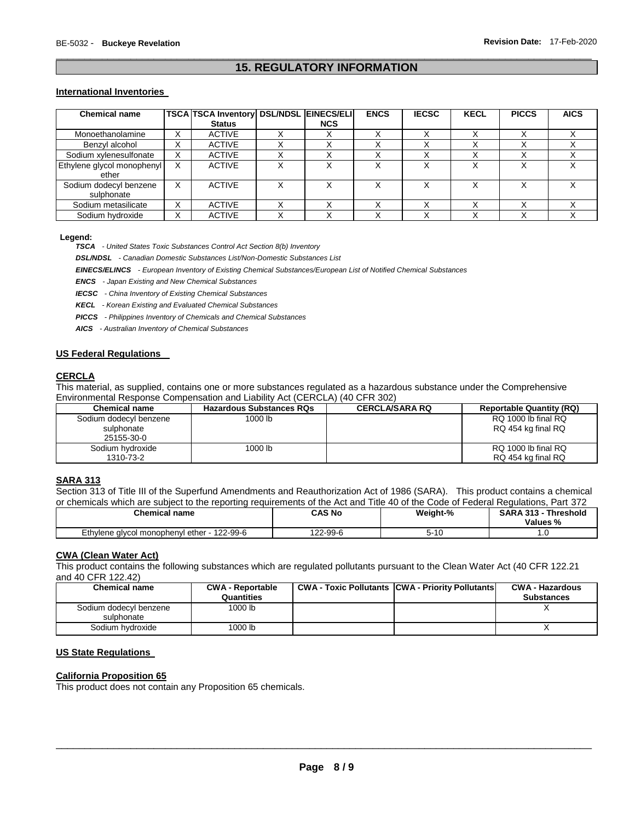# \_\_\_\_\_\_\_\_\_\_\_\_\_\_\_\_\_\_\_\_\_\_\_\_\_\_\_\_\_\_\_\_\_\_\_\_\_\_\_\_\_\_\_\_\_\_\_\_\_\_\_\_\_\_\_\_\_\_\_\_\_\_\_\_\_\_\_\_\_\_\_\_\_\_\_\_\_\_\_\_\_\_\_\_\_\_\_\_\_\_\_\_\_ **15. REGULATORY INFORMATION**

#### **International Inventories**

| <b>Chemical name</b>       |                   | <b>TSCA TSCA Inventory DSL/NDSL EINECS/ELI</b> |            | <b>ENCS</b> | <b>IECSC</b> | <b>KECL</b> | <b>PICCS</b> | <b>AICS</b> |
|----------------------------|-------------------|------------------------------------------------|------------|-------------|--------------|-------------|--------------|-------------|
|                            |                   | <b>Status</b>                                  | <b>NCS</b> |             |              |             |              |             |
| Monoethanolamine           | x                 | <b>ACTIVE</b>                                  |            |             |              |             |              |             |
| Benzyl alcohol             |                   | <b>ACTIVE</b>                                  |            |             |              |             |              |             |
| Sodium xylenesulfonate     | $\checkmark$<br>⋏ | <b>ACTIVE</b>                                  |            |             |              |             |              |             |
| Ethylene glycol monophenyl | $\checkmark$      | <b>ACTIVE</b>                                  |            |             | ν            | v           |              |             |
| ether                      |                   |                                                |            |             |              |             |              |             |
| Sodium dodecyl benzene     | х                 | <b>ACTIVE</b>                                  |            |             |              | v           |              |             |
| sulphonate                 |                   |                                                |            |             |              |             |              |             |
| Sodium metasilicate        | x                 | <b>ACTIVE</b>                                  |            |             |              |             |              |             |
| Sodium hydroxide           |                   | <b>ACTIVE</b>                                  |            |             |              |             |              |             |

#### **Legend:**

*TSCA - United States Toxic Substances Control Act Section 8(b) Inventory* 

*DSL/NDSL - Canadian Domestic Substances List/Non-Domestic Substances List* 

*EINECS/ELINCS - European Inventory of Existing Chemical Substances/European List of Notified Chemical Substances* 

*ENCS - Japan Existing and New Chemical Substances* 

*IECSC - China Inventory of Existing Chemical Substances* 

*KECL - Korean Existing and Evaluated Chemical Substances* 

*PICCS - Philippines Inventory of Chemicals and Chemical Substances* 

*AICS - Australian Inventory of Chemical Substances* 

#### **US Federal Regulations**

# **CERCLA**

This material, as supplied, contains one or more substances regulated as a hazardous substance under the Comprehensive Environmental Response Compensation and Liability Act (CERCLA) (40 CFR 302)

| <b>Chemical name</b>   | <b>Hazardous Substances RQs</b> | <b>CERCLA/SARA RQ</b> | <b>Reportable Quantity (RQ)</b> |
|------------------------|---------------------------------|-----------------------|---------------------------------|
| Sodium dodecyl benzene | 1000 lb                         |                       | RQ 1000 lb final RQ             |
| sulphonate             |                                 |                       | RQ 454 kg final RQ              |
| 25155-30-0             |                                 |                       |                                 |
| Sodium hydroxide       | 1000 lb                         |                       | RQ 1000 lb final RQ             |
| 1310-73-2              |                                 |                       | RQ 454 kg final RQ              |

# **SARA 313**

Section 313 of Title III of the Superfund Amendments and Reauthorization Act of 1986 (SARA). This product contains a chemical or chemicals which are subject to the reporting requirements of the Act and Title 40 of the Code of Federal Regulations, Part 372

| <b>Chemical name</b>                                   | CAS No        | Weight-% | <b>SARA 313 -</b><br><b>Threshold</b><br><b>Values %</b> |
|--------------------------------------------------------|---------------|----------|----------------------------------------------------------|
| Ethylene alvcol monophenyl<br>122-99-6<br>™ ether - า∠ | ໍດດ<br>2-99-6 | $5 - 10$ | . . U                                                    |

#### **CWA (Clean Water Act)**

This product contains the following substances which are regulated pollutants pursuant to the Clean Water Act (40 CFR 122.21 and 40 CFR 122.42)

| <b>Chemical name</b>                 | <b>CWA - Reportable</b><br>Quantities | <b>CWA - Toxic Pollutants CWA - Priority Pollutants</b> | <b>CWA - Hazardous</b><br><b>Substances</b> |
|--------------------------------------|---------------------------------------|---------------------------------------------------------|---------------------------------------------|
| Sodium dodecyl benzene<br>sulphonate | 1000 lb                               |                                                         |                                             |
| Sodium hydroxide                     | 1000 lb                               |                                                         |                                             |

#### **US State Regulations**

#### **California Proposition 65**

This product does not contain any Proposition 65 chemicals.